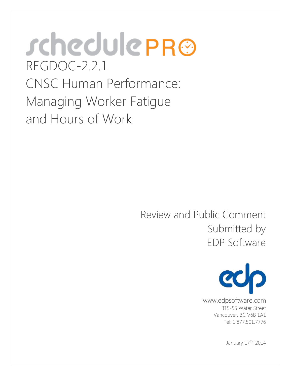# *s*chedule PR® REGDOC-2.2.1 CNSC Human Performance: Managing Worker Fatigue and Hours of Work

Submitted by<br>EDP Software Review and Public Comment



 Vancouver, BC V6B 1A1 www.edpsoftware.com 315-55 Water Street Tel: 1.877.501.7776

January 17<sup>th</sup>, 2014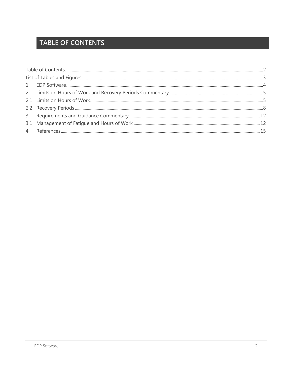# <span id="page-1-0"></span>**TABLE OF CONTENTS**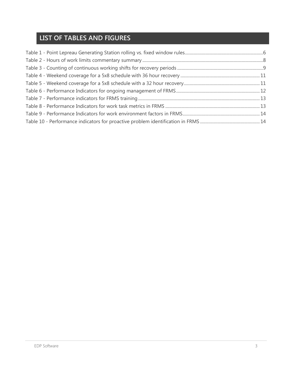# <span id="page-2-0"></span>**LIST OF TABLES AND FIGURES**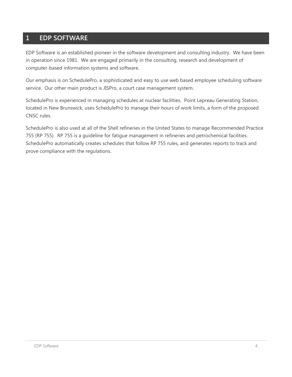# <span id="page-3-0"></span>**1 EDP SOFTWARE**

 EDP Software is an established pioneer in the software development and consulting industry. We have been in operation since 1981. We are engaged primarily in the consulting, research and development of computer-based information systems and software.

Our emphasis is on SchedulePro, a sophisticated and easy to use web based employee scheduling software service. Our other main product is JISPro, a court case management system.

 SchedulePro is experienced in managing schedules at nuclear facilities. Point Lepreau Generating Station, located in New Brunswick, uses SchedulePro to manage their hours of work limits, a form of the proposed CNSC rules.

 SchedulePro automatically creates schedules that follow RP 755 rules, and generates reports to track and SchedulePro is also used at all of the Shell refineries in the United States to manage Recommended Practice 755 (RP 755). RP 755 is a guideline for fatigue management in refineries and petrochemical facilities. prove compliance with the regulations.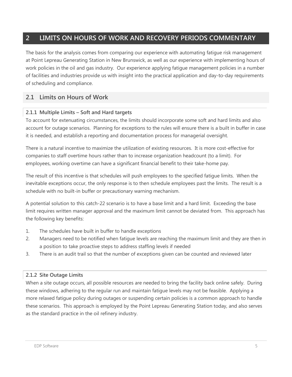# <span id="page-4-0"></span> **2 LIMITS ON HOURS OF WORK AND RECOVERY PERIODS COMMENTARY**

 at Point Lepreau Generating Station in New Brunswick, as well as our experience with implementing hours of work policies in the oil and gas industry. Our experience applying fatigue management policies in a number of facilities and industries provide us with insight into the practical application and day-to-day requirements The basis for the analysis comes from comparing our experience with automating fatigue risk management of scheduling and compliance.

# <span id="page-4-1"></span> **2.1 Limits on Hours of Work**

# **2.1.1 Multiple Limits – Soft and Hard targets**

 To account for extenuating circumstances, the limits should incorporate some soft and hard limits and also account for outage scenarios. Planning for exceptions to the rules will ensure there is a built in buffer in case it is needed, and establish a reporting and documentation process for managerial oversight.

 There is a natural incentive to maximize the utilization of existing resources. It is more cost-effective for companies to staff overtime hours rather than to increase organization headcount (to a limit). For employees, working overtime can have a significant financial benefit to their take-home pay.

 inevitable exceptions occur, the only response is to then schedule employees past the limits. The result is a schedule with no built-in buffer or precautionary warning mechanism. The result of this incentive is that schedules will push employees to the specified fatigue limits. When the

 limit requires written manager approval and the maximum limit cannot be deviated from. This approach has A potential solution to this catch-22 scenario is to have a base limit and a hard limit. Exceeding the base the following key benefits:

- 1. The schedules have built in buffer to handle exceptions
- 2. Managers need to be notified when fatigue levels are reaching the maximum limit and they are then in a position to take proactive steps to address staffing levels if needed
- 3. There is an audit trail so that the number of exceptions given can be counted and reviewed later

# **2.1.2 Site Outage Limits**

 When a site outage occurs, all possible resources are needed to bring the facility back online safely. During these scenarios. This approach is employed by the Point Lepreau Generating Station today, and also serves as the standard practice in the oil refinery industry. these windows, adhering to the regular run and maintain fatigue levels may not be feasible. Applying a more relaxed fatigue policy during outages or suspending certain policies is a common approach to handle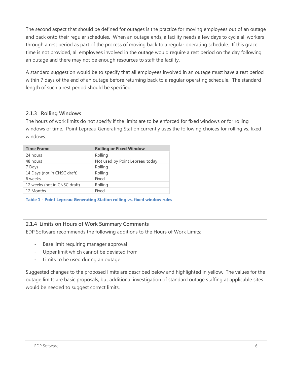and back onto their regular schedules. When an outage ends, a facility needs a few days to cycle all workers through a rest period as part of the process of moving back to a regular operating schedule. If this grace an outage and there may not be enough resources to staff the facility. The second aspect that should be defined for outages is the practice for moving employees out of an outage time is not provided, all employees involved in the outage would require a rest period on the day following

 within 7 days of the end of an outage before returning back to a regular operating schedule. The standard A standard suggestion would be to specify that all employees involved in an outage must have a rest period length of such a rest period should be specified.

# **2.1.3 Rolling Windows**

 The hours of work limits do not specify if the limits are to be enforced for fixed windows or for rolling windows of time. Point Lepreau Generating Station currently uses the following choices for rolling vs. fixed windows.

| <b>Time Frame</b>            | <b>Rolling or Fixed Window</b>  |
|------------------------------|---------------------------------|
| 24 hours                     | Rolling                         |
| 48 hours                     | Not used by Point Lepreau today |
| 7 Days                       | Rolling                         |
| 14 Days (not in CNSC draft)  | Rolling                         |
| 6 weeks                      | Fixed                           |
| 12 weeks (not in CNSC draft) | Rolling                         |
| 12 Months                    | Fixed                           |
|                              |                                 |

<span id="page-5-0"></span> **Table 1 - Point Lepreau Generating Station rolling vs. fixed window rules** 

# **2.1.4 Limits on Hours of Work Summary Comments**

EDP Software recommends the following additions to the Hours of Work Limits:

- Base limit requiring manager approval
- Upper limit which cannot be deviated from
- Limits to be used during an outage

 Suggested changes to the proposed limits are described below and highlighted in yellow. The values for the outage limits are basic proposals, but additional investigation of standard outage staffing at applicable sites would be needed to suggest correct limits.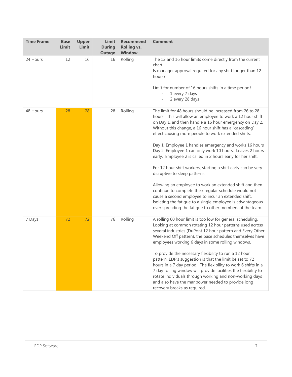| <b>Time Frame</b> | <b>Base</b><br>Limit | Upper<br>Limit | Limit<br><b>During</b><br><b>Outage</b> | <b>Recommend</b><br><b>Rolling vs.</b><br><b>Window</b> | <b>Comment</b>                                                                                                                                                                                                                                                                                                                                                                                                                                                                                                                                                                                                                                                                                                                                                                                                                                                                                 |
|-------------------|----------------------|----------------|-----------------------------------------|---------------------------------------------------------|------------------------------------------------------------------------------------------------------------------------------------------------------------------------------------------------------------------------------------------------------------------------------------------------------------------------------------------------------------------------------------------------------------------------------------------------------------------------------------------------------------------------------------------------------------------------------------------------------------------------------------------------------------------------------------------------------------------------------------------------------------------------------------------------------------------------------------------------------------------------------------------------|
| 24 Hours          | 12                   | 16             | 16                                      | Rolling                                                 | The 12 and 16 hour limits come directly from the current<br>chart<br>Is manager approval required for any shift longer than 12<br>hours?<br>Limit for number of 16 hours shifts in a time period?<br>1 every 7 days<br>$\overline{\phantom{a}}$<br>2 every 28 days<br>$\bar{\phantom{a}}$                                                                                                                                                                                                                                                                                                                                                                                                                                                                                                                                                                                                      |
| 48 Hours          | 28                   | 28             | 28                                      | Rolling                                                 | The limit for 48 hours should be increased from 26 to 28<br>hours. This will allow an employee to work a 12 hour shift<br>on Day 1, and then handle a 16 hour emergency on Day 2.<br>Without this change, a 16 hour shift has a "cascading"<br>effect causing more people to work extended shifts.<br>Day 1: Employee 1 handles emergency and works 16 hours<br>Day 2: Employee 1 can only work 10 hours. Leaves 2 hours<br>early. Employee 2 is called in 2 hours early for her shift.<br>For 12 hour shift workers, starting a shift early can be very<br>disruptive to sleep patterns.<br>Allowing an employee to work an extended shift and then<br>continue to complete their regular schedule would not<br>cause a second employee to incur an extended shift.<br>Isolating the fatigue to a single employee is advantageous<br>over spreading the fatigue to other members of the team. |
| 7 Days            | 72                   | 72             | 76                                      | Rolling                                                 | A rolling 60 hour limit is too low for general scheduling.<br>Looking at common rotating 12 hour patterns used across<br>several industries (DuPont 12 hour pattern and Every Other<br>Weekend Off pattern), the base schedules themselves have<br>employees working 6 days in some rolling windows.<br>To provide the necessary flexibility to run a 12 hour<br>pattern, EDP's suggestion is that the limit be set to 72<br>hours in a 7 day period. The flexibility to work 6 shifts in a<br>7 day rolling window will provide facilities the flexibility to<br>rotate individuals through working and non-working days<br>and also have the manpower needed to provide long<br>recovery breaks as required.                                                                                                                                                                                 |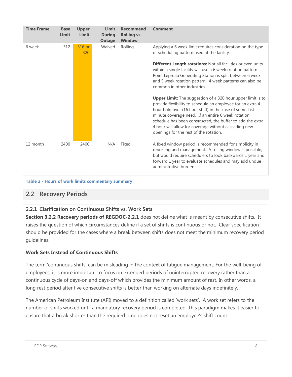| <b>Time Frame</b> | <b>Base</b><br>Limit | <b>Upper</b><br><b>Limit</b> | Limit<br><b>During</b><br><b>Outage</b> | <b>Recommend</b><br><b>Rolling vs.</b><br><b>Window</b> | <b>Comment</b>                                                                                                                                                                                                                                                                                                                                                                                                    |
|-------------------|----------------------|------------------------------|-----------------------------------------|---------------------------------------------------------|-------------------------------------------------------------------------------------------------------------------------------------------------------------------------------------------------------------------------------------------------------------------------------------------------------------------------------------------------------------------------------------------------------------------|
| 6 week            | 312                  | 316 or<br>320                | Waived                                  | Rolling                                                 | Applying a 6 week limit requires consideration on the type<br>of scheduling pattern used at the facility.                                                                                                                                                                                                                                                                                                         |
|                   |                      |                              |                                         |                                                         | Different Length rotations: Not all facilities or even units<br>within a single facility will use a 6 week rotation pattern.<br>Point Lepreau Generating Station is split between 6 week<br>and 5 week rotation pattern. 4 week patterns can also be<br>common in other industries.                                                                                                                               |
|                   |                      |                              |                                         |                                                         | <b>Upper Limit:</b> The suggestion of a 320 hour upper limit is to<br>provide flexibility to schedule an employee for an extra 4<br>hour hold over (16 hour shift) in the case of some last<br>minute coverage need. If an entire 6 week rotation<br>schedule has been constructed, the buffer to add the extra<br>4 hour will allow for coverage without cascading new<br>openings for the rest of the rotation. |
| 12 month          | 2400                 | 2400                         | N/A                                     | Fixed                                                   | A fixed window period is recommended for simplicity in<br>reporting and management. A rolling window is possible,<br>but would require schedulers to look backwards 1 year and<br>forward 1 year to evaluate schedules and may add undue<br>administrative burden.                                                                                                                                                |

#### <span id="page-7-1"></span> **Table 2 - Hours of work limits commentary summary**

# <span id="page-7-0"></span>**2.2 Recovery Periods**

# <span id="page-7-2"></span> **2.2.1 Clarification on Continuous Shifts vs. Work Sets**

 **Section 3.2.2 Recovery periods of REGDOC-2.2.1** does not define what is meant by consecutive shifts. It raises the question of which circumstances define if a set of shifts is continuous or not. Clear specification should be provided for the cases where a break between shifts does not meet the minimum recovery period guidelines.

#### **Work Sets Instead of Continuous Shifts**

 The term 'continuous shifts' can be misleading in the context of fatigue management. For the well-being of continuous cycle of days-on and days-off which provides the minimum amount of rest. In other words, a employees, it is more important to focus on extended periods of uninterrupted recovery rather than a long rest period after five consecutive shifts is better than working on alternate days indefinitely.

 number of shifts worked until a mandatory recovery period is completed. This paradigm makes it easier to The American Petroleum Institute (API) moved to a definition called 'work sets'. A work set refers to the ensure that a break shorter than the required time does not reset an employee's shift count.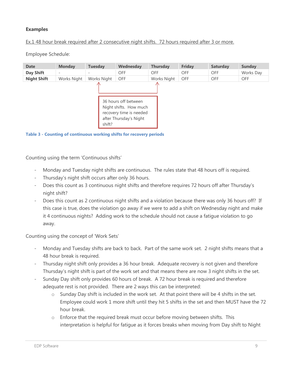#### **Examples**

#### Ex.1 48 hour break required after 2 consecutive night shifts. 72 hours required after 3 or more.

Employee Schedule:



<span id="page-8-0"></span>

Counting using the term 'Continuous shifts'

- Monday and Tuesday night shifts are continuous. The rules state that 48 hours off is required.
- Thursday's night shift occurs after only 36 hours.
- - Does this count as 3 continuous night shifts and therefore requires 72 hours off after Thursday's night shift?
- it 4 continuous nights? Adding work to the schedule should not cause a fatigue violation to go Does this count as 2 continuous night shifts and a violation because there was only 36 hours off? If this case is true, does the violation go away if we were to add a shift on Wednesday night and make away.

Counting using the concept of 'Work Sets'

- 48 hour break is required. Monday and Tuesday shifts are back to back. Part of the same work set. 2 night shifts means that a
- Thursday night shift only provides a 36 hour break. Adequate recovery is not given and therefore Thursday's night shift is part of the work set and that means there are now 3 night shifts in the set.
- - Sunday Day shift only provides 60 hours of break. A 72 hour break is required and therefore adequate rest is not provided. There are 2 ways this can be interpreted:
	- hour break. o Sunday Day shift is included in the work set. At that point there will be 4 shifts in the set. Employee could work 1 more shift until they hit 5 shifts in the set and then MUST have the 72
	- interpretation is helpful for fatigue as it forces breaks when moving from Day shift to Night  $\circ$  Enforce that the required break must occur before moving between shifts. This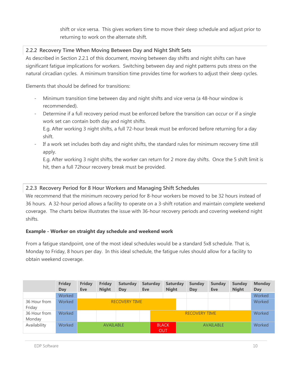shift or vice versa. This gives workers time to move their sleep schedule and adjust prior to returning to work on the alternate shift.

# **2.2.2 Recovery Time When Moving Between Day and Night Shift Sets**

 significant fatigue implications for workers. Switching between day and night patterns puts stress on the natural circadian cycles. A minimum transition time provides time for workers to adjust their sleep cycles. As described in Section [2.2.1](#page-7-2) of this document, moving between day shifts and night shifts can have

Elements that should be defined for transitions:

- - Minimum transition time between day and night shifts and vice versa (a 48-hour window is recommended).
- Determine if a full recovery period must be enforced before the transition can occur or if a single work set can contain both day and night shifts.

 E.g. After working 3 night shifts, a full 72-hour break must be enforced before returning for a day shift.

 - If a work set includes both day and night shifts, the standard rules for minimum recovery time still apply.

 E.g. After working 3 night shifts, the worker can return for 2 more day shifts. Once the 5 shift limit is hit, then a full 72hour recovery break must be provided.

# **2.2.3 Recovery Period for 8 Hour Workers and Managing Shift Schedules**

 We recommend that the minimum recovery period for 8-hour workers be moved to be 32 hours instead of 36 hours. A 32-hour period allows a facility to operate on a 3-shift rotation and maintain complete weekend coverage. The charts below illustrates the issue with 36-hour recovery periods and covering weekend night shifts.

# **Example - Worker on straight day schedule and weekend work**

 Monday to Friday, 8 hours per day. In this ideal schedule, the fatigue rules should allow for a facility to obtain weekend coverage. From a fatigue standpoint, one of the most ideal schedules would be a standard 5x8 schedule. That is,

|                        | <b>Friday</b><br>Day | Friday<br><b>Eve</b> | <b>Friday</b><br><b>Night</b> | <b>Saturday</b><br>Day | <b>Saturday</b><br><b>Eve</b> | <b>Saturday</b><br><b>Night</b> |  | <b>Sunday</b><br>Day | Sunday<br><b>Eve</b> | <b>Sunday</b><br><b>Night</b> | <b>Monday</b><br>Day |
|------------------------|----------------------|----------------------|-------------------------------|------------------------|-------------------------------|---------------------------------|--|----------------------|----------------------|-------------------------------|----------------------|
|                        | Worked               |                      |                               |                        |                               |                                 |  |                      |                      |                               | Worked               |
| 36 Hour from<br>Friday | Worked               |                      | <b>RECOVERY TIME</b>          |                        |                               |                                 |  |                      |                      |                               | Worked               |
| 36 Hour from<br>Monday | Worked               |                      |                               |                        |                               |                                 |  | <b>RECOVERY TIME</b> |                      |                               | Worked               |
| Availability           | Worked               |                      | <b>AVAILABLE</b>              |                        |                               | <b>BLACK</b><br><b>OUT</b>      |  |                      | AVAILABLE            |                               | Worked               |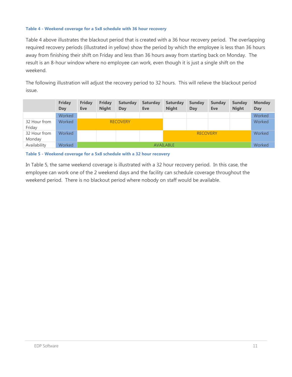#### <span id="page-10-0"></span> **Table 4 - Weekend coverage for a 5x8 schedule with 36 hour recovery**

 result is an 8-hour window where no employee can work, even though it is just a single shift on the [Table 4](#page-10-0) above illustrates the blackout period that is created with a 36 hour recovery period. The overlapping required recovery periods (illustrated in yellow) show the period by which the employee is less than 36 hours away from finishing their shift on Friday and less than 36 hours away from starting back on Monday. The weekend.

 The following illustration will adjust the recovery period to 32 hours. This will relieve the blackout period issue.

|                        | <b>Friday</b><br>Day | <b>Friday</b><br><b>Eve</b> | <b>Friday</b><br><b>Night</b> | <b>Saturday</b><br>Day | <b>Saturday</b><br><b>Eve</b> | <b>Saturday</b><br><b>Night</b> | <b>Sunday</b><br>Day | <b>Sunday</b><br>Eve | <b>Sunday</b><br><b>Night</b> | <b>Monday</b><br>Day |
|------------------------|----------------------|-----------------------------|-------------------------------|------------------------|-------------------------------|---------------------------------|----------------------|----------------------|-------------------------------|----------------------|
|                        | Worked               |                             |                               |                        |                               |                                 |                      |                      |                               | Worked               |
| 32 Hour from<br>Friday | Worked               |                             |                               | <b>RECOVERY</b>        |                               |                                 |                      |                      |                               | Worked               |
| 32 Hour from           | Worked               |                             |                               |                        |                               |                                 | <b>RECOVERY</b>      |                      |                               | Worked               |
| Monday                 |                      |                             |                               |                        |                               |                                 |                      |                      |                               |                      |
| Availability           | Worked               | <b>AVAILABLE</b>            |                               |                        |                               |                                 |                      | Worked               |                               |                      |

<span id="page-10-1"></span> **Table 5 - Weekend coverage for a 5x8 schedule with a 32 hour recovery** 

 In [Table 5,](#page-10-1) the same weekend coverage is illustrated with a 32 hour recovery period. In this case, the weekend period. There is no blackout period where nobody on staff would be available. employee can work one of the 2 weekend days and the facility can schedule coverage throughout the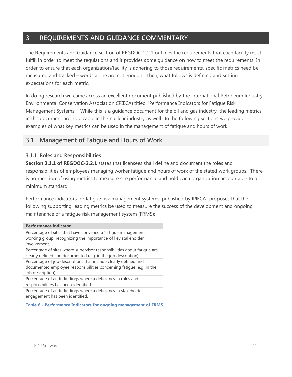# <span id="page-11-0"></span> **3 REQUIREMENTS AND GUIDANCE COMMENTARY**

 fulfill in order to meet the regulations and it provides some guidance on how to meet the requirements. In order to ensure that each organization/facility is adhering to those requirements, specific metrics need be measured and tracked – words alone are not enough. Then, what follows is defining and setting The Requirements and Guidance section of REGDOC-2.2.1 outlines the requirements that each facility must expectations for each metric.

 Environmental Conservation Association (IPIECA) titled "Performance Indicators for Fatigue Risk Management Systems". While this is a guidance document for the oil and gas industry, the leading metrics examples of what key metrics can be used in the management of fatigue and hours of work. In doing research we came across an excellent document published by the International Petroleum Industry in the document are applicable in the nuclear industry as well. In the following sections we provide

# <span id="page-11-1"></span> **3.1 Management of Fatigue and Hours of Work**

# **3.1.1 Roles and Responsibilities**

 **Section 3.1.1 of REGDOC-2.2.1** states that licensees shall define and document the roles and responsibilities of employees managing worker fatigue and hours of work of the stated work groups. There is no mention of using metrics to measure site performance and hold each organization accountable to a minimum standard.

Performance indicators for fatigue risk management systems, published by IPIECA $^1$  proposes that the following supporting leading metrics be used to measure the success of the development and ongoing maintenance of a fatigue risk management system (FRMS):

#### **Performance Indicator**

#### <span id="page-11-2"></span> **Table 6 - Performance Indicators for ongoing management of FRMS**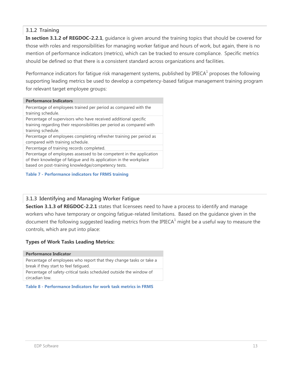# **3.1.2 Training**

 **In section 3.1.2 of REGDOC-2.2.1**, guidance is given around the training topics that should be covered for those with roles and responsibilities for managing worker fatigue and hours of work, but again, there is no mention of performance indicators (metrics), which can be tracked to ensure compliance. Specific metrics should be defined so that there is a consistent standard across organizations and facilities.

 for relevant target employee groups: Performance indicators for fatigue risk management systems, published by IPIECA $<sup>1</sup>$  proposes the following</sup> supporting leading metrics be used to develop a competency-based fatigue management training program

#### Percentage of employees trained per period as compared with the Percentage of supervisors who have received additional specific Percentage of employees completing refresher training per period as Percentage of training records completed. Percentage of employees assessed to be competent in the application of their knowledge of fatigue and its application in the workplace **Performance Indicators**  training schedule. training regarding their responsibilities per period as compared with training schedule. compared with training schedule. based on post-training knowledge/competency tests.

#### <span id="page-12-0"></span> **Table 7 - Performance indicators for FRMS training**

# **3.1.3 Identifying and Managing Worker Fatigue**

**Section 3.1.3 of REGDOC-2.2.1** states that licensees need to have a process to identify and manage workers who have temporary or ongoing fatigue-related limitations. Based on the guidance given in the document the following suggested leading metrics from the IPIECA $<sup>1</sup>$  might be a useful way to measure the</sup> controls, which are put into place:

#### **Types of Work Tasks Leading Metrics:**

#### **Performance Indicator**

 Percentage of employees who report that they change tasks or take a break if they start to feel fatigued. Percentage of safety-critical tasks scheduled outside the window of circadian low.

<span id="page-12-1"></span> **Table 8 - Performance Indicators for work task metrics in FRMS**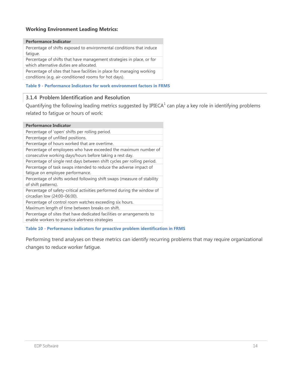#### **Working Environment Leading Metrics:**

#### **Performance Indicator**

 Percentage of shifts exposed to environmental conditions that induce fatigue.

 Percentage of shifts that have management strategies in place, or for which alternative duties are allocated.

 Percentage of sites that have facilities in place for managing working conditions (e.g. air-conditioned rooms for hot days).

<span id="page-13-0"></span> **Table 9 - Performance Indicators for work environment factors in FRMS** 

#### **3.1.4 Problem Identification and Resolution**

Quantifying the following leading metrics suggested by IPIECA $^1$  can play a key role in identifying problems related to fatigue or hours of work:

| <b>Performance Indicator</b>                                            |
|-------------------------------------------------------------------------|
| Percentage of 'open' shifts per rolling period.                         |
| Percentage of unfilled positions.                                       |
| Percentage of hours worked that are overtime.                           |
| Percentage of employees who have exceeded the maximum number of         |
| consecutive working days/hours before taking a rest day.                |
| Percentage of single rest days between shift cycles per rolling period. |
| Percentage of task swaps intended to reduce the adverse impact of       |
| fatique on employee performance.                                        |
| Percentage of shifts worked following shift swaps (measure of stability |
| of shift patterns).                                                     |
| Percentage of safety-critical activities performed during the window of |
| circadian low (24:00-06:00).                                            |
| Percentage of control room watches exceeding six hours.                 |
| Maximum length of time between breaks on shift.                         |
| Percentage of sites that have dedicated facilities or arrangements to   |
| enable workers to practice alertness strategies                         |

#### <span id="page-13-1"></span> **Table 10 - Performance indicators for proactive problem identification in FRMS**

 Performing trend analyses on these metrics can identify recurring problems that may require organizational changes to reduce worker fatigue.